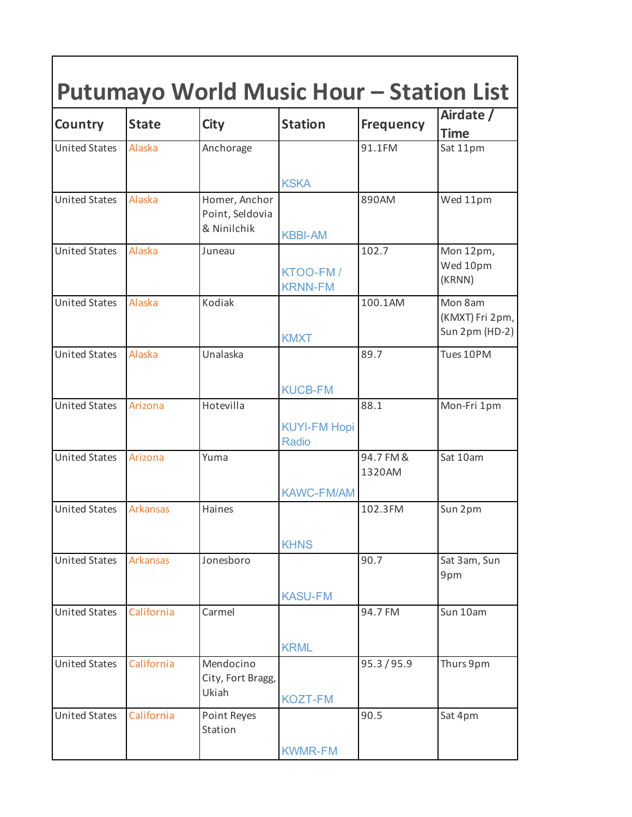| Country              | <b>State</b>    | <b>City</b>                                     | <b>Station</b>                      | <b>Frequency</b>    | Airdate /<br><b>Time</b>                     |
|----------------------|-----------------|-------------------------------------------------|-------------------------------------|---------------------|----------------------------------------------|
| <b>United States</b> | <b>Alaska</b>   | Anchorage                                       |                                     | 91.1FM              | Sat 11pm                                     |
|                      |                 |                                                 | <b>KSKA</b>                         |                     |                                              |
| <b>United States</b> | <b>Alaska</b>   | Homer, Anchor<br>Point, Seldovia<br>& Ninilchik | <b>KBBI-AM</b>                      | 890AM               | Wed 11pm                                     |
| <b>United States</b> | Alaska          | Juneau                                          | KTOO-FM/<br><b>KRNN-FM</b>          | 102.7               | Mon 12pm,<br>Wed 10pm<br>(KRNN)              |
| <b>United States</b> | Alaska          | Kodiak                                          | <b>KMXT</b>                         | 100.1AM             | Mon 8am<br>(KMXT) Fri 2pm,<br>Sun 2pm (HD-2) |
| <b>United States</b> | <b>Alaska</b>   | Unalaska                                        | <b>KUCB-FM</b>                      | 89.7                | Tues 10PM                                    |
| <b>United States</b> | Arizona         | Hotevilla                                       | <b>KUYI-FM Hopi</b><br><b>Radio</b> | 88.1                | Mon-Fri 1pm                                  |
| <b>United States</b> | Arizona         | Yuma                                            | <b>KAWC-FM/AM</b>                   | 94.7 FM &<br>1320AM | Sat 10am                                     |
| <b>United States</b> | <b>Arkansas</b> | Haines                                          |                                     | 102.3FM             | Sun 2pm                                      |
| <b>United States</b> | Arkansas        | Jonesboro                                       | <b>KHNS</b><br><b>KASU-FM</b>       | 90.7                | Sat 3am, Sun<br>9pm                          |
| <b>United States</b> | California      | Carmel                                          | <b>KRML</b>                         | 94.7 FM             | Sun 10am                                     |
| <b>United States</b> | California      | Mendocino<br>City, Fort Bragg,<br>Ukiah         | <b>KOZT-FM</b>                      | 95.3/95.9           | Thurs 9pm                                    |
| <b>United States</b> | California      | Point Reyes<br>Station                          | <b>KWMR-FM</b>                      | 90.5                | Sat 4pm                                      |

ן

Г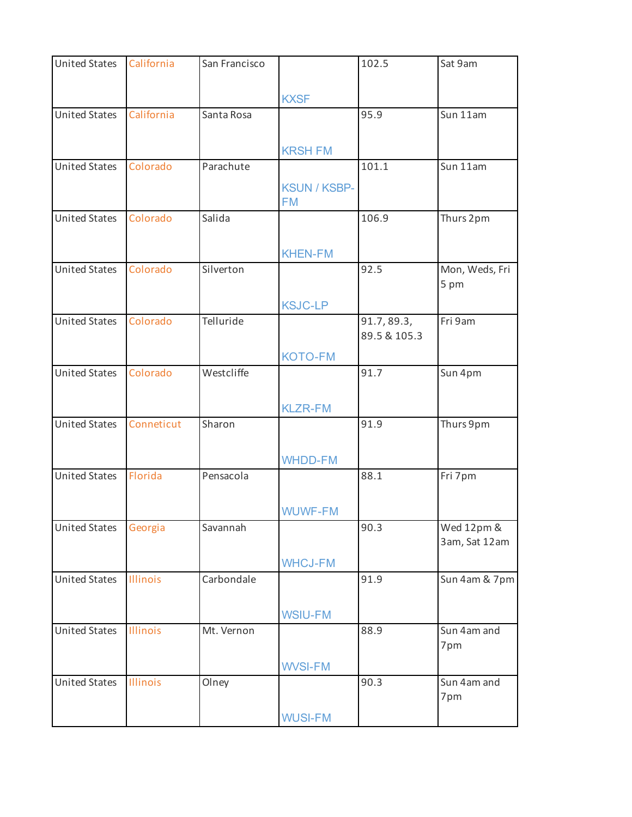| <b>United States</b> | California | San Francisco |                     | 102.5        | Sat 9am        |
|----------------------|------------|---------------|---------------------|--------------|----------------|
|                      |            |               |                     |              |                |
|                      |            |               | <b>KXSF</b>         |              |                |
| <b>United States</b> | California | Santa Rosa    |                     | 95.9         | Sun 11am       |
|                      |            |               |                     |              |                |
|                      |            |               |                     |              |                |
|                      |            |               | <b>KRSH FM</b>      |              |                |
| <b>United States</b> | Colorado   | Parachute     |                     | 101.1        | Sun 11am       |
|                      |            |               | <b>KSUN / KSBP-</b> |              |                |
|                      |            |               | <b>FM</b>           |              |                |
| <b>United States</b> | Colorado   | Salida        |                     | 106.9        | Thurs 2pm      |
|                      |            |               |                     |              |                |
|                      |            |               | <b>KHEN-FM</b>      |              |                |
| <b>United States</b> | Colorado   | Silverton     |                     | 92.5         | Mon, Weds, Fri |
|                      |            |               |                     |              | 5 pm           |
|                      |            |               |                     |              |                |
|                      |            |               | <b>KSJC-LP</b>      |              |                |
| <b>United States</b> | Colorado   | Telluride     |                     | 91.7, 89.3,  | Fri 9am        |
|                      |            |               |                     | 89.5 & 105.3 |                |
|                      |            |               | <b>KOTO-FM</b>      |              |                |
| <b>United States</b> | Colorado   | Westcliffe    |                     | 91.7         | Sun 4pm        |
|                      |            |               |                     |              |                |
|                      |            |               | <b>KLZR-FM</b>      |              |                |
| <b>United States</b> | Conneticut | Sharon        |                     | 91.9         | Thurs 9pm      |
|                      |            |               |                     |              |                |
|                      |            |               |                     |              |                |
|                      |            |               | <b>WHDD-FM</b>      |              |                |
| <b>United States</b> | Florida    | Pensacola     |                     | 88.1         | Fri 7pm        |
|                      |            |               |                     |              |                |
|                      |            |               | <b>WUWF-FM</b>      |              |                |
| <b>United States</b> | Georgia    | Savannah      |                     | 90.3         | Wed 12pm &     |
|                      |            |               |                     |              | 3am, Sat 12am  |
|                      |            |               | <b>WHCJ-FM</b>      |              |                |
| <b>United States</b> | Illinois   | Carbondale    |                     | 91.9         | Sun 4am & 7pm  |
|                      |            |               |                     |              |                |
|                      |            |               |                     |              |                |
|                      |            |               | <b>WSIU-FM</b>      |              |                |
| <b>United States</b> | Illinois   | Mt. Vernon    |                     | 88.9         | Sun 4am and    |
|                      |            |               |                     |              | 7pm            |
|                      |            |               | <b>WVSI-FM</b>      |              |                |
| <b>United States</b> | Illinois   | Olney         |                     | 90.3         | Sun 4am and    |
|                      |            |               |                     |              | 7pm            |
|                      |            |               | <b>WUSI-FM</b>      |              |                |
|                      |            |               |                     |              |                |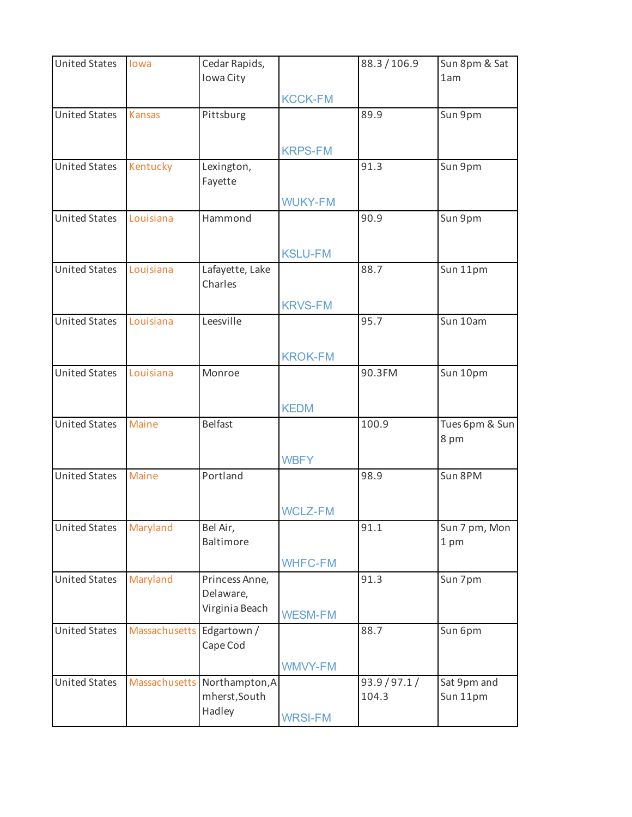| <b>United States</b> | lowa                      | Cedar Rapids,                |                | 88.3/106.9    | Sun 8pm & Sat         |
|----------------------|---------------------------|------------------------------|----------------|---------------|-----------------------|
|                      |                           | Iowa City                    |                |               | 1am                   |
|                      |                           |                              | <b>KCCK-FM</b> |               |                       |
| <b>United States</b> | <b>Kansas</b>             | Pittsburg                    |                | 89.9          | Sun 9pm               |
|                      |                           |                              |                |               |                       |
|                      |                           |                              | <b>KRPS-FM</b> |               |                       |
| <b>United States</b> | Kentucky                  | Lexington,                   |                | 91.3          | Sun 9pm               |
|                      |                           | Fayette                      |                |               |                       |
|                      |                           |                              | <b>WUKY-FM</b> |               |                       |
| <b>United States</b> | Louisiana                 | Hammond                      |                | 90.9          | Sun 9pm               |
|                      |                           |                              |                |               |                       |
|                      |                           |                              | <b>KSLU-FM</b> |               |                       |
| <b>United States</b> | Louisiana                 | Lafayette, Lake              |                | 88.7          | Sun 11pm              |
|                      |                           | Charles                      |                |               |                       |
|                      |                           |                              | <b>KRVS-FM</b> |               |                       |
| <b>United States</b> | Louisiana                 | Leesville                    |                | 95.7          | Sun 10am              |
|                      |                           |                              |                |               |                       |
|                      |                           |                              | <b>KROK-FM</b> |               |                       |
| <b>United States</b> | Louisiana                 | Monroe                       |                | 90.3FM        | Sun 10pm              |
|                      |                           |                              |                |               |                       |
|                      |                           |                              | <b>KEDM</b>    |               |                       |
| <b>United States</b> | Maine                     | <b>Belfast</b>               |                | 100.9         | Tues 6pm & Sun        |
|                      |                           |                              |                |               | 8 pm                  |
|                      |                           |                              | <b>WBFY</b>    |               |                       |
| <b>United States</b> | Maine                     | Portland                     |                | 98.9          | Sun 8PM               |
|                      |                           |                              |                |               |                       |
|                      |                           |                              | <b>WCLZ-FM</b> |               |                       |
| <b>United States</b> | Maryland                  | Bel Air,<br>Baltimore        |                | 91.1          | Sun 7 pm, Mon<br>1 pm |
|                      |                           |                              |                |               |                       |
|                      |                           |                              | <b>WHFC-FM</b> |               |                       |
| <b>United States</b> | Maryland                  | Princess Anne,<br>Delaware,  |                | 91.3          | Sun 7pm               |
|                      |                           | Virginia Beach               |                |               |                       |
| <b>United States</b> |                           |                              | <b>WESM-FM</b> | 88.7          | Sun 6pm               |
|                      | Massachusetts Edgartown / | Cape Cod                     |                |               |                       |
|                      |                           |                              |                |               |                       |
| <b>United States</b> |                           | Massachusetts Northampton, A | <b>WMVY-FM</b> | 93.9 / 97.1 / | Sat 9pm and           |
|                      |                           | mherst, South                |                | 104.3         | Sun 11pm              |
|                      |                           | Hadley                       |                |               |                       |
|                      |                           |                              | <b>WRSI-FM</b> |               |                       |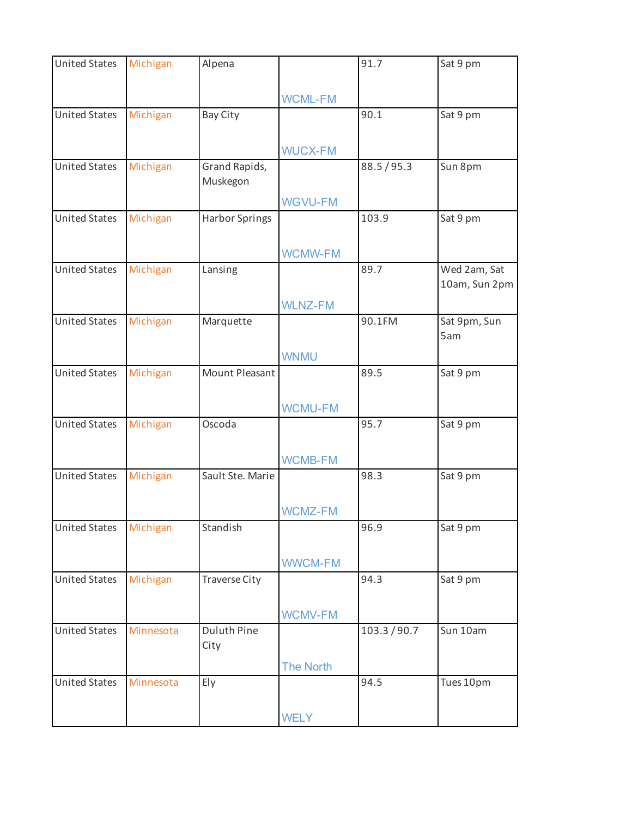| <b>United States</b> | Michigan  | Alpena                |                  | 91.7         | Sat 9 pm      |
|----------------------|-----------|-----------------------|------------------|--------------|---------------|
|                      |           |                       |                  |              |               |
|                      |           |                       | <b>WCML-FM</b>   |              |               |
| <b>United States</b> | Michigan  | Bay City              |                  | 90.1         | Sat 9 pm      |
|                      |           |                       |                  |              |               |
|                      |           |                       | <b>WUCX-FM</b>   |              |               |
| <b>United States</b> | Michigan  | Grand Rapids,         |                  | 88.5/95.3    | Sun 8pm       |
|                      |           | Muskegon              |                  |              |               |
|                      |           |                       | <b>WGVU-FM</b>   |              |               |
| <b>United States</b> | Michigan  | <b>Harbor Springs</b> |                  | 103.9        | Sat 9 pm      |
|                      |           |                       |                  |              |               |
|                      |           |                       | <b>WCMW-FM</b>   |              |               |
| <b>United States</b> | Michigan  | Lansing               |                  | 89.7         | Wed 2am, Sat  |
|                      |           |                       |                  |              | 10am, Sun 2pm |
|                      |           |                       | <b>WLNZ-FM</b>   |              |               |
| <b>United States</b> | Michigan  | Marquette             |                  | 90.1FM       | Sat 9pm, Sun  |
|                      |           |                       |                  |              | 5am           |
|                      |           |                       | <b>WNMU</b>      |              |               |
| <b>United States</b> | Michigan  | Mount Pleasant        |                  | 89.5         | Sat 9 pm      |
|                      |           |                       |                  |              |               |
|                      |           |                       | <b>WCMU-FM</b>   |              |               |
| <b>United States</b> | Michigan  | Oscoda                |                  | 95.7         | Sat 9 pm      |
|                      |           |                       |                  |              |               |
|                      |           |                       | <b>WCMB-FM</b>   |              |               |
| <b>United States</b> | Michigan  | Sault Ste. Marie      |                  | 98.3         | Sat 9 pm      |
|                      |           |                       |                  |              |               |
|                      |           |                       | <b>WCMZ-FM</b>   |              |               |
| <b>United States</b> | Michigan  | Standish              |                  | 96.9         | Sat 9 pm      |
|                      |           |                       |                  |              |               |
|                      |           |                       | <b>WWCM-FM</b>   |              |               |
| <b>United States</b> | Michigan  | <b>Traverse City</b>  |                  | 94.3         | Sat 9 pm      |
|                      |           |                       |                  |              |               |
|                      |           |                       | <b>WCMV-FM</b>   |              |               |
| <b>United States</b> | Minnesota | <b>Duluth Pine</b>    |                  | 103.3 / 90.7 | Sun 10am      |
|                      |           | City                  |                  |              |               |
|                      |           |                       | <b>The North</b> |              |               |
| <b>United States</b> | Minnesota | Ely                   |                  | 94.5         | Tues 10pm     |
|                      |           |                       |                  |              |               |
|                      |           |                       | <b>WELY</b>      |              |               |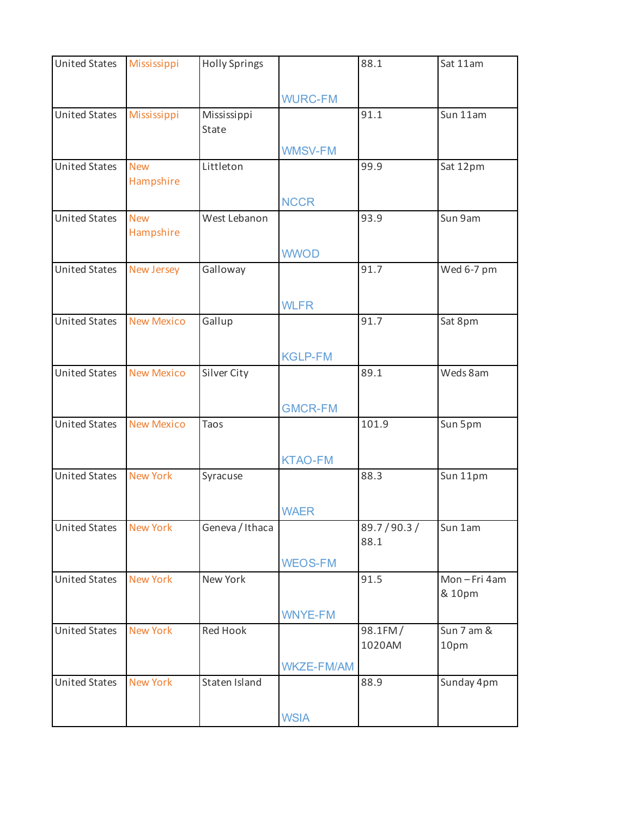| <b>United States</b> | Mississippi             | <b>Holly Springs</b> |                   | 88.1              | Sat 11am           |
|----------------------|-------------------------|----------------------|-------------------|-------------------|--------------------|
|                      |                         |                      |                   |                   |                    |
|                      |                         |                      | <b>WURC-FM</b>    |                   |                    |
| <b>United States</b> | Mississippi             | Mississippi<br>State |                   | 91.1              | Sun 11am           |
|                      |                         |                      |                   |                   |                    |
|                      |                         |                      | <b>WMSV-FM</b>    |                   |                    |
| <b>United States</b> | <b>New</b><br>Hampshire | Littleton            |                   | 99.9              | Sat 12pm           |
|                      |                         |                      |                   |                   |                    |
| <b>United States</b> | <b>New</b>              | West Lebanon         | <b>NCCR</b>       | 93.9              | Sun 9am            |
|                      | Hampshire               |                      |                   |                   |                    |
|                      |                         |                      |                   |                   |                    |
| <b>United States</b> | New Jersey              | Galloway             | <b>WWOD</b>       | 91.7              | Wed 6-7 pm         |
|                      |                         |                      |                   |                   |                    |
|                      |                         |                      | <b>WLFR</b>       |                   |                    |
| <b>United States</b> | <b>New Mexico</b>       | Gallup               |                   | 91.7              | Sat 8pm            |
|                      |                         |                      |                   |                   |                    |
|                      |                         |                      | <b>KGLP-FM</b>    |                   |                    |
| <b>United States</b> | <b>New Mexico</b>       | Silver City          |                   | 89.1              | Weds 8am           |
|                      |                         |                      |                   |                   |                    |
|                      |                         |                      | <b>GMCR-FM</b>    |                   |                    |
| <b>United States</b> | <b>New Mexico</b>       | Taos                 |                   | 101.9             | Sun 5pm            |
|                      |                         |                      |                   |                   |                    |
|                      |                         |                      | <b>KTAO-FM</b>    |                   |                    |
| <b>United States</b> | <b>New York</b>         | Syracuse             |                   | 88.3              | Sun 11pm           |
|                      |                         |                      |                   |                   |                    |
|                      |                         |                      | <b>WAER</b>       |                   |                    |
| <b>United States</b> | <b>New York</b>         | Geneva / Ithaca      |                   | 89.7/90.3/        | Sun 1am            |
|                      |                         |                      |                   | 88.1              |                    |
|                      |                         |                      | <b>WEOS-FM</b>    |                   |                    |
| <b>United States</b> | <b>New York</b>         | New York             |                   | 91.5              | Mon-Fri 4am        |
|                      |                         |                      |                   |                   | & 10pm             |
|                      |                         |                      | <b>WNYE-FM</b>    |                   |                    |
| <b>United States</b> | <b>New York</b>         | Red Hook             |                   | 98.1FM/<br>1020AM | Sun 7 am &<br>10pm |
|                      |                         |                      |                   |                   |                    |
| <b>United States</b> | <b>New York</b>         | Staten Island        | <b>WKZE-FM/AM</b> | 88.9              |                    |
|                      |                         |                      |                   |                   | Sunday 4pm         |
|                      |                         |                      |                   |                   |                    |
|                      |                         |                      | <b>WSIA</b>       |                   |                    |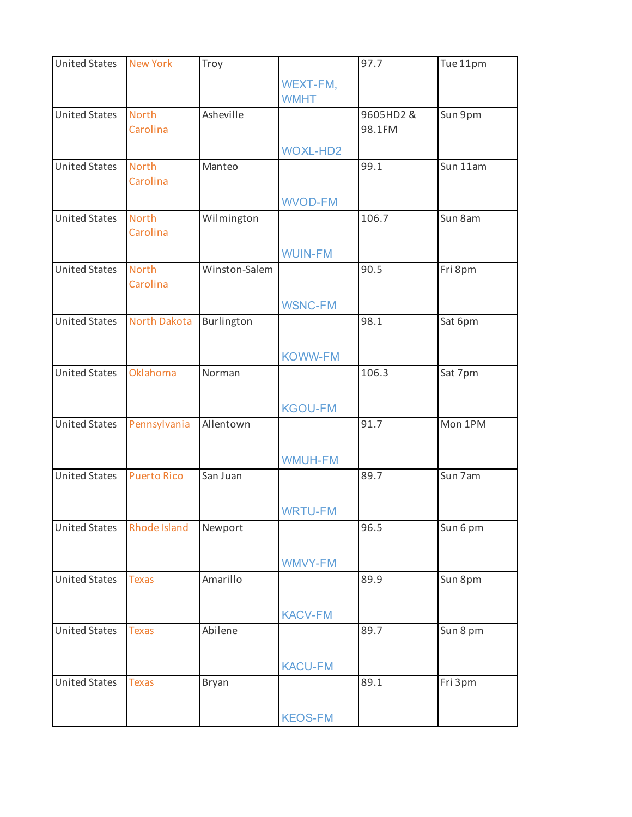| <b>United States</b> | <b>New York</b>          | Troy          |                         | 97.7               | Tue 11pm |
|----------------------|--------------------------|---------------|-------------------------|--------------------|----------|
|                      |                          |               | WEXT-FM,<br><b>WMHT</b> |                    |          |
| <b>United States</b> | <b>North</b><br>Carolina | Asheville     |                         | 9605HD2&<br>98.1FM | Sun 9pm  |
|                      |                          |               | <b>WOXL-HD2</b>         |                    |          |
| <b>United States</b> | <b>North</b><br>Carolina | Manteo        |                         | 99.1               | Sun 11am |
|                      |                          |               | <b>WVOD-FM</b>          |                    |          |
| <b>United States</b> | <b>North</b><br>Carolina | Wilmington    |                         | 106.7              | Sun 8am  |
|                      |                          |               | <b>WUIN-FM</b>          |                    |          |
| <b>United States</b> | <b>North</b><br>Carolina | Winston-Salem |                         | 90.5               | Fri 8pm  |
|                      |                          |               | <b>WSNC-FM</b>          |                    |          |
| <b>United States</b> | <b>North Dakota</b>      | Burlington    |                         | 98.1               | Sat 6pm  |
|                      |                          |               | <b>KOWW-FM</b>          |                    |          |
| <b>United States</b> | Oklahoma                 | Norman        |                         | 106.3              | Sat 7pm  |
|                      |                          |               | <b>KGOU-FM</b>          |                    |          |
| <b>United States</b> | Pennsylvania             | Allentown     |                         | 91.7               | Mon 1PM  |
|                      |                          |               | <b>WMUH-FM</b>          |                    |          |
| <b>United States</b> | <b>Puerto Rico</b>       | San Juan      |                         | 89.7               | Sun 7am  |
|                      |                          |               | <b>WRTU-FM</b>          |                    |          |
| <b>United States</b> | Rhode Island             | Newport       |                         | 96.5               | Sun 6 pm |
|                      |                          |               | WMVY-FM                 |                    |          |
| <b>United States</b> | <b>Texas</b>             | Amarillo      |                         | 89.9               | Sun 8pm  |
|                      |                          |               | <b>KACV-FM</b>          |                    |          |
| <b>United States</b> | <b>Texas</b>             | Abilene       |                         | 89.7               | Sun 8 pm |
|                      |                          |               | <b>KACU-FM</b>          |                    |          |
| <b>United States</b> | <b>Texas</b>             | Bryan         |                         | 89.1               | Fri 3pm  |
|                      |                          |               | <b>KEOS-FM</b>          |                    |          |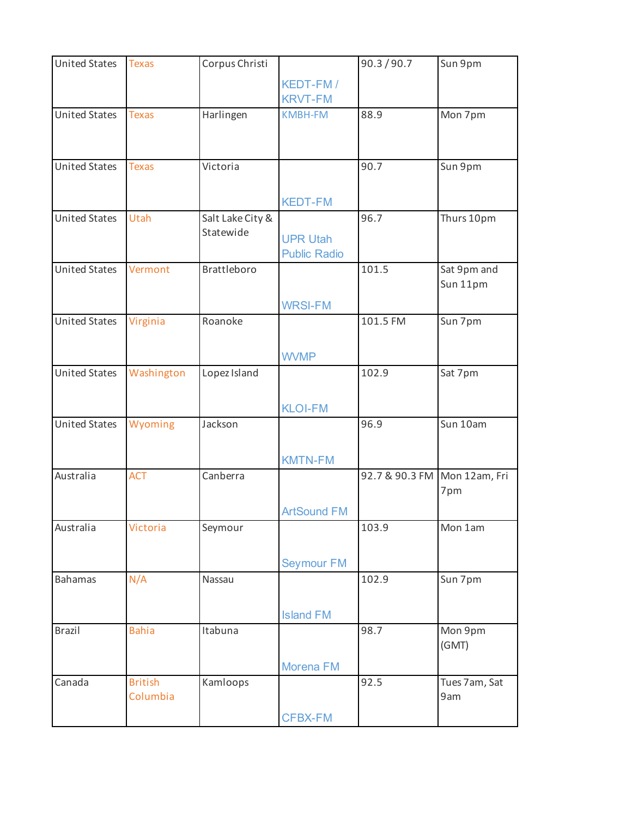| <b>United States</b> | <b>Texas</b>               | Corpus Christi                |                                        | 90.3 / 90.7                  | Sun 9pm                 |
|----------------------|----------------------------|-------------------------------|----------------------------------------|------------------------------|-------------------------|
|                      |                            |                               | KEDT-FM/<br><b>KRVT-FM</b>             |                              |                         |
| <b>United States</b> | <b>Texas</b>               | Harlingen                     | <b>KMBH-FM</b>                         | 88.9                         | Mon 7pm                 |
| <b>United States</b> | <b>Texas</b>               | Victoria                      |                                        | 90.7                         | Sun 9pm                 |
|                      |                            |                               | <b>KEDT-FM</b>                         |                              |                         |
| <b>United States</b> | Utah                       | Salt Lake City &<br>Statewide | <b>UPR Utah</b><br><b>Public Radio</b> | 96.7                         | Thurs 10pm              |
| <b>United States</b> | Vermont                    | <b>Brattleboro</b>            | <b>WRSI-FM</b>                         | 101.5                        | Sat 9pm and<br>Sun 11pm |
| <b>United States</b> | Virginia                   | Roanoke                       | <b>WVMP</b>                            | 101.5 FM                     | Sun 7pm                 |
| <b>United States</b> | Washington                 | Lopez Island                  | <b>KLOI-FM</b>                         | 102.9                        | Sat 7pm                 |
| <b>United States</b> | Wyoming                    | Jackson                       | <b>KMTN-FM</b>                         | 96.9                         | Sun 10am                |
| Australia            | <b>ACT</b>                 | Canberra                      | <b>ArtSound FM</b>                     | 92.7 & 90.3 FM Mon 12am, Fri | 7pm                     |
| Australia            | Victoria                   | Seymour                       | <b>Seymour FM</b>                      | 103.9                        | Mon 1am                 |
| <b>Bahamas</b>       | N/A                        | Nassau                        | <b>Island FM</b>                       | 102.9                        | Sun 7pm                 |
| <b>Brazil</b>        | <b>Bahia</b>               | Itabuna                       | Morena FM                              | 98.7                         | Mon 9pm<br>(GMT)        |
| Canada               | <b>British</b><br>Columbia | Kamloops                      | <b>CFBX-FM</b>                         | 92.5                         | Tues 7am, Sat<br>9am    |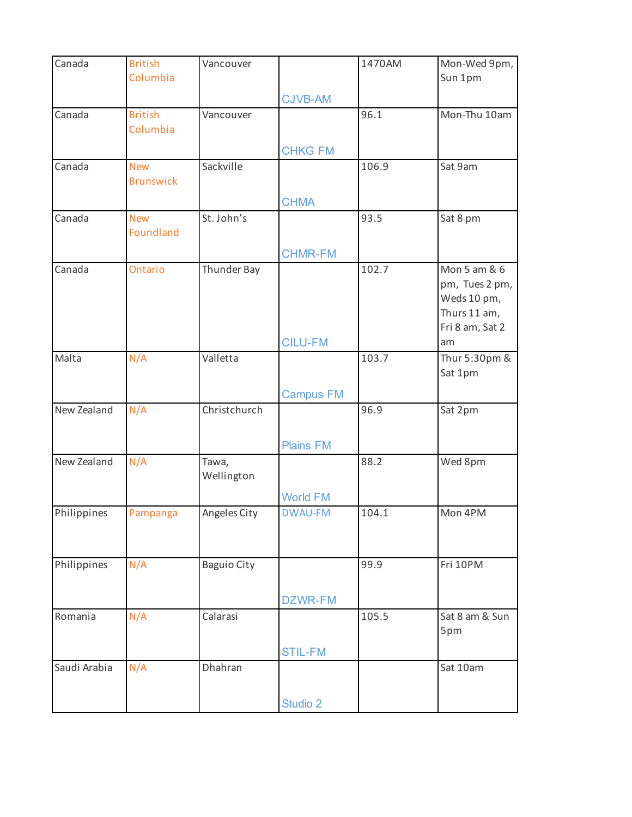| Canada       | <b>British</b>                 | Vancouver           |                  | 1470AM | Mon-Wed 9pm,                                                                     |
|--------------|--------------------------------|---------------------|------------------|--------|----------------------------------------------------------------------------------|
|              | Columbia                       |                     |                  |        | Sun 1pm                                                                          |
|              |                                |                     | <b>CJVB-AM</b>   |        |                                                                                  |
| Canada       | <b>British</b><br>Columbia     | Vancouver           |                  | 96.1   | Mon-Thu 10am                                                                     |
|              |                                |                     | <b>CHKG FM</b>   |        |                                                                                  |
| Canada       | <b>New</b><br><b>Brunswick</b> | Sackville           |                  | 106.9  | Sat 9am                                                                          |
|              |                                |                     | <b>CHMA</b>      |        |                                                                                  |
| Canada       | <b>New</b><br>Foundland        | St. John's          |                  | 93.5   | Sat 8 pm                                                                         |
|              |                                |                     | <b>CHMR-FM</b>   |        |                                                                                  |
| Canada       | Ontario                        | Thunder Bay         |                  | 102.7  | Mon 5 am & 6<br>pm, Tues 2 pm,<br>Weds 10 pm,<br>Thurs 11 am,<br>Fri 8 am, Sat 2 |
|              |                                |                     | <b>CILU-FM</b>   |        | am                                                                               |
| Malta        | N/A                            | Valletta            |                  | 103.7  | Thur 5:30pm &<br>Sat 1pm                                                         |
|              |                                |                     | <b>Campus FM</b> |        |                                                                                  |
| New Zealand  | N/A                            | Christchurch        |                  | 96.9   | Sat 2pm                                                                          |
|              |                                |                     | <b>Plains FM</b> |        |                                                                                  |
| New Zealand  | N/A                            | Tawa,<br>Wellington |                  | 88.2   | Wed 8pm                                                                          |
|              |                                |                     | <b>World FM</b>  |        |                                                                                  |
| Philippines  | Pampanga                       | Angeles City        | <b>DWAU-FM</b>   | 104.1  | Mon 4PM                                                                          |
| Philippines  | N/A                            | <b>Baguio City</b>  |                  | 99.9   | Fri 10PM                                                                         |
|              |                                |                     | DZWR-FM          |        |                                                                                  |
| Romania      | N/A                            | Calarasi            |                  | 105.5  | Sat 8 am & Sun<br>5pm                                                            |
|              |                                |                     | <b>STIL-FM</b>   |        |                                                                                  |
| Saudi Arabia | N/A                            | Dhahran             |                  |        | Sat 10am                                                                         |
|              |                                |                     | Studio 2         |        |                                                                                  |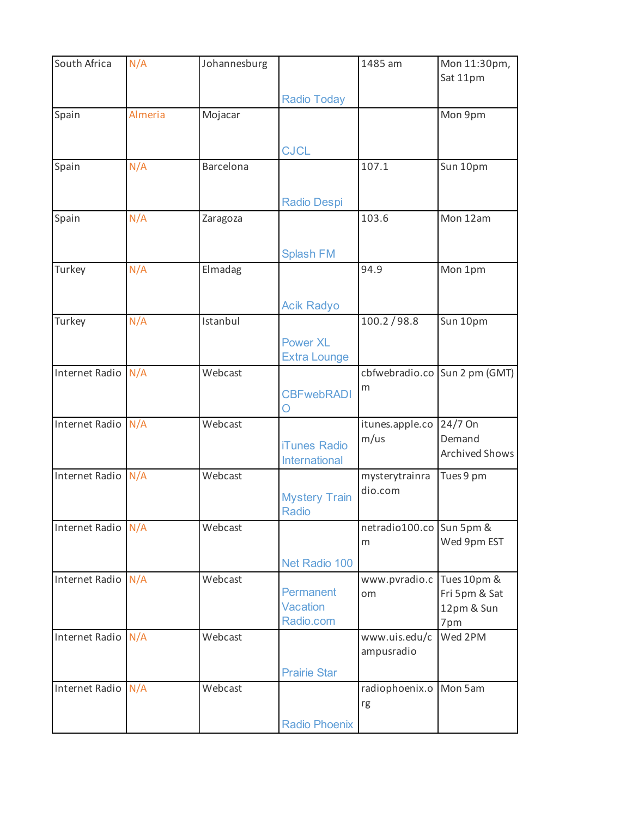| South Africa       | N/A     | Johannesburg |                                           | 1485 am                  | Mon 11:30pm,<br>Sat 11pm                          |
|--------------------|---------|--------------|-------------------------------------------|--------------------------|---------------------------------------------------|
|                    |         |              | <b>Radio Today</b>                        |                          |                                                   |
| Spain              | Almeria | Mojacar      |                                           |                          | Mon 9pm                                           |
|                    |         |              | <b>CJCL</b>                               |                          |                                                   |
| Spain              | N/A     | Barcelona    |                                           | 107.1                    | Sun 10pm                                          |
|                    |         |              | <b>Radio Despi</b>                        |                          |                                                   |
| Spain              | N/A     | Zaragoza     |                                           | 103.6                    | Mon 12am                                          |
|                    |         |              | <b>Splash FM</b>                          |                          |                                                   |
| Turkey             | N/A     | Elmadag      |                                           | 94.9                     | Mon 1pm                                           |
|                    |         |              | <b>Acik Radyo</b>                         |                          |                                                   |
| Turkey             | N/A     | Istanbul     |                                           | 100.2 / 98.8             | Sun 10pm                                          |
|                    |         |              | <b>Power XL</b><br><b>Extra Lounge</b>    |                          |                                                   |
| Internet Radio     | N/A     | Webcast      |                                           |                          | cbfwebradio.co Sun 2 pm (GMT)                     |
|                    |         |              | <b>CBFwebRADI</b><br>O                    | m                        |                                                   |
| Internet Radio     | N/A     | Webcast      |                                           | itunes.apple.co          | 24/7 On                                           |
|                    |         |              | <b>iTunes Radio</b><br>International      | m/us                     | Demand<br>Archived Shows                          |
| Internet Radio N/A |         | Webcast      |                                           | mysterytrainra           | Tues 9 pm                                         |
|                    |         |              | <b>Mystery Train</b><br><b>Radio</b>      | dio.com                  |                                                   |
| Internet Radio N/A |         | Webcast      |                                           | netradio100.co Sun 5pm & |                                                   |
|                    |         |              |                                           | m                        | Wed 9pm EST                                       |
|                    |         |              | Net Radio 100                             |                          |                                                   |
| Internet Radio N/A |         | Webcast      | Permanent<br><b>Vacation</b><br>Radio.com | www.pvradio.c<br>om      | Tues 10pm &<br>Fri 5pm & Sat<br>12pm & Sun<br>7pm |
| Internet Radio N/A |         | Webcast      |                                           | www.uis.edu/c            | Wed 2PM                                           |
|                    |         |              |                                           | ampusradio               |                                                   |
|                    |         |              | <b>Prairie Star</b>                       |                          |                                                   |
| Internet Radio N/A |         | Webcast      |                                           | radiophoenix.o<br>rg     | Mon 5am                                           |
|                    |         |              | <b>Radio Phoenix</b>                      |                          |                                                   |